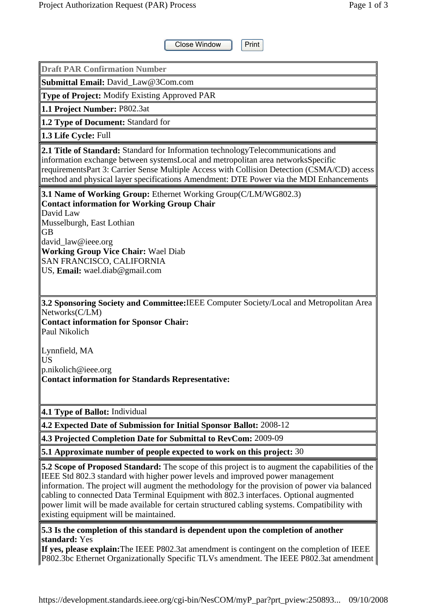Close Window Print **Draft PAR Confirmation Number Submittal Email:** David\_Law@3Com.com **Type of Project:** Modify Existing Approved PAR **1.1 Project Number:** P802.3at **1.2 Type of Document:** Standard for **1.3 Life Cycle:** Full **2.1 Title of Standard:** Standard for Information technologyTelecommunications and information exchange between systemsLocal and metropolitan area networksSpecific requirementsPart 3: Carrier Sense Multiple Access with Collision Detection (CSMA/CD) access method and physical layer specifications Amendment: DTE Power via the MDI Enhancements **3.1 Name of Working Group:** Ethernet Working Group(C/LM/WG802.3) **Contact information for Working Group Chair** David Law Musselburgh, East Lothian GB david\_law@ieee.org **Working Group Vice Chair:** Wael Diab SAN FRANCISCO, CALIFORNIA US, **Email:** wael.diab@gmail.com **3.2 Sponsoring Society and Committee:**IEEE Computer Society/Local and Metropolitan Area Networks(C/LM) **Contact information for Sponsor Chair:** Paul Nikolich Lynnfield, MA US p.nikolich@ieee.org **Contact information for Standards Representative: 4.1 Type of Ballot:** Individual **4.2 Expected Date of Submission for Initial Sponsor Ballot:** 2008-12 **4.3 Projected Completion Date for Submittal to RevCom:** 2009-09 **5.1 Approximate number of people expected to work on this project:** 30 **5.2 Scope of Proposed Standard:** The scope of this project is to augment the capabilities of the IEEE Std 802.3 standard with higher power levels and improved power management information. The project will augment the methodology for the provision of power via balanced cabling to connected Data Terminal Equipment with 802.3 interfaces. Optional augmented power limit will be made available for certain structured cabling systems. Compatibility with existing equipment will be maintained.

**5.3 Is the completion of this standard is dependent upon the completion of another standard:** Yes

**If yes, please explain:**The IEEE P802.3at amendment is contingent on the completion of IEEE P802.3bc Ethernet Organizationally Specific TLVs amendment. The IEEE P802.3at amendment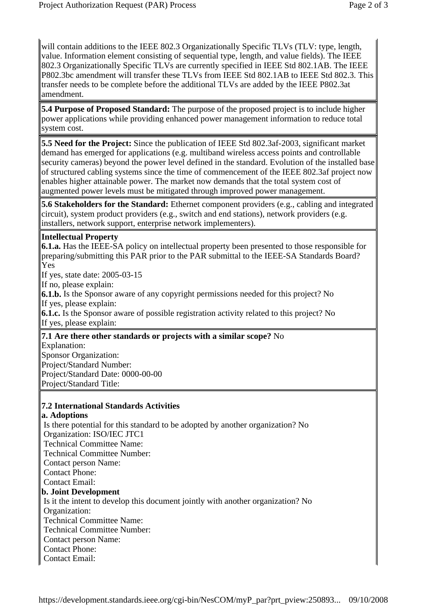will contain additions to the IEEE 802.3 Organizationally Specific TLVs (TLV: type, length, value. Information element consisting of sequential type, length, and value fields). The IEEE 802.3 Organizationally Specific TLVs are currently specified in IEEE Std 802.1AB. The IEEE P802.3bc amendment will transfer these TLVs from IEEE Std 802.1AB to IEEE Std 802.3. This transfer needs to be complete before the additional TLVs are added by the IEEE P802.3at amendment.

**5.4 Purpose of Proposed Standard:** The purpose of the proposed project is to include higher power applications while providing enhanced power management information to reduce total system cost.

**5.5 Need for the Project:** Since the publication of IEEE Std 802.3af-2003, significant market demand has emerged for applications (e.g. multiband wireless access points and controllable security cameras) beyond the power level defined in the standard. Evolution of the installed base of structured cabling systems since the time of commencement of the IEEE 802.3af project now enables higher attainable power. The market now demands that the total system cost of augmented power levels must be mitigated through improved power management.

**5.6 Stakeholders for the Standard:** Ethernet component providers (e.g., cabling and integrated circuit), system product providers (e.g., switch and end stations), network providers (e.g. installers, network support, enterprise network implementers).

### **Intellectual Property**

**6.1.a.** Has the IEEE-SA policy on intellectual property been presented to those responsible for preparing/submitting this PAR prior to the PAR submittal to the IEEE-SA Standards Board? Yes

If yes, state date: 2005-03-15

If no, please explain:

**6.1.b.** Is the Sponsor aware of any copyright permissions needed for this project? No If yes, please explain:

**6.1.c.** Is the Sponsor aware of possible registration activity related to this project? No If yes, please explain:

### **7.1 Are there other standards or projects with a similar scope?** No

Explanation: Sponsor Organization: Project/Standard Number: Project/Standard Date: 0000-00-00 Project/Standard Title:

# **7.2 International Standards Activities**

**a. Adoptions**

 Is there potential for this standard to be adopted by another organization? No Organization: ISO/IEC JTC1 Technical Committee Name: Technical Committee Number: Contact person Name: Contact Phone: Contact Email: **b. Joint Development** Is it the intent to develop this document jointly with another organization? No Organization: Technical Committee Name: Technical Committee Number: Contact person Name: Contact Phone: Contact Email: